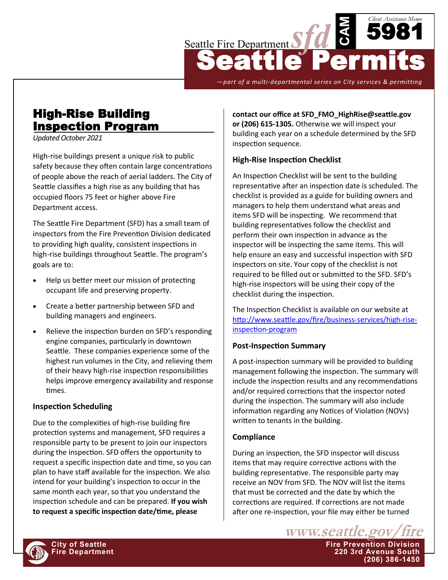

*—part of a multi-departmental series on City services & permitting*

# High-Rise Building Inspection Program

*Updated October 2021*

High-rise buildings present a unique risk to public safety because they often contain large concentrations of people above the reach of aerial ladders. The City of Seattle classifies a high rise as any building that has occupied floors 75 feet or higher above Fire Department access.

The Seattle Fire Department (SFD) has a small team of inspectors from the Fire Prevention Division dedicated to providing high quality, consistent inspections in high-rise buildings throughout Seattle. The program's goals are to:

- Help us better meet our mission of protecting occupant life and preserving property.
- Create a better partnership between SFD and building managers and engineers.
- Relieve the inspection burden on SFD's responding engine companies, particularly in downtown Seattle. These companies experience some of the highest run volumes in the City, and relieving them of their heavy high-rise inspection responsibilities helps improve emergency availability and response times.

# **Inspection Scheduling**

Due to the complexities of high-rise building fire protection systems and management, SFD requires a responsible party to be present to join our inspectors during the inspection. SFD offers the opportunity to request a specific inspection date and time, so you can plan to have staff available for the inspection. We also intend for your building's inspection to occur in the same month each year, so that you understand the inspection schedule and can be prepared. **If you wish to request a specific inspection date/time, please** 

**contact our office at SFD\_FMO\_HighRise@seattle.gov or (206) 615-1305.** Otherwise we will inspect your building each year on a schedule determined by the SFD inspection sequence.

# **High-Rise Inspection Checklist**

An [Inspection Checklist](http://www.seattle.gov/fire/FMO/PreInspectionChecklist.pdf) will be sent to the building representative after an inspection date is scheduled. The checklist is provided as a guide for building owners and managers to help them understand what areas and items SFD will be inspecting. We recommend that building representatives follow the checklist and perform their own inspection in advance as the inspector will be inspecting the same items. This will help ensure an easy and successful inspection with SFD inspectors on site. Your copy of the checklist is not required to be filled out or submitted to the SFD. SFD's high-rise inspectors will be using their copy of the checklist during the inspection.

The Inspection Checklist is available on our website at [http://www.seattle.gov/fire/business](http://www.seattle.gov/fire/business-services/high-rise-inspection-program)-services/high-rise[inspection](http://www.seattle.gov/fire/business-services/high-rise-inspection-program)-program

#### **Post-Inspection Summary**

A post-inspection summary will be provided to building management following the inspection. The summary will include the inspection results and any recommendations and/or required corrections that the inspector noted during the inspection. The summary will also include information regarding any Notices of Violation (NOVs) written to tenants in the building.

#### **Compliance**

During an inspection, the SFD inspector will discuss items that may require corrective actions with the building representative. The responsible party may receive an NOV from SFD. The NOV will list the items that must be corrected and the date by which the corrections are required. If corrections are not made after one re-inspection, your file may either be turned

www.seattle.gov **City of Seattle Fire Prevention Division Fire Department 220 3rd Avenue South (206) 386-1450**